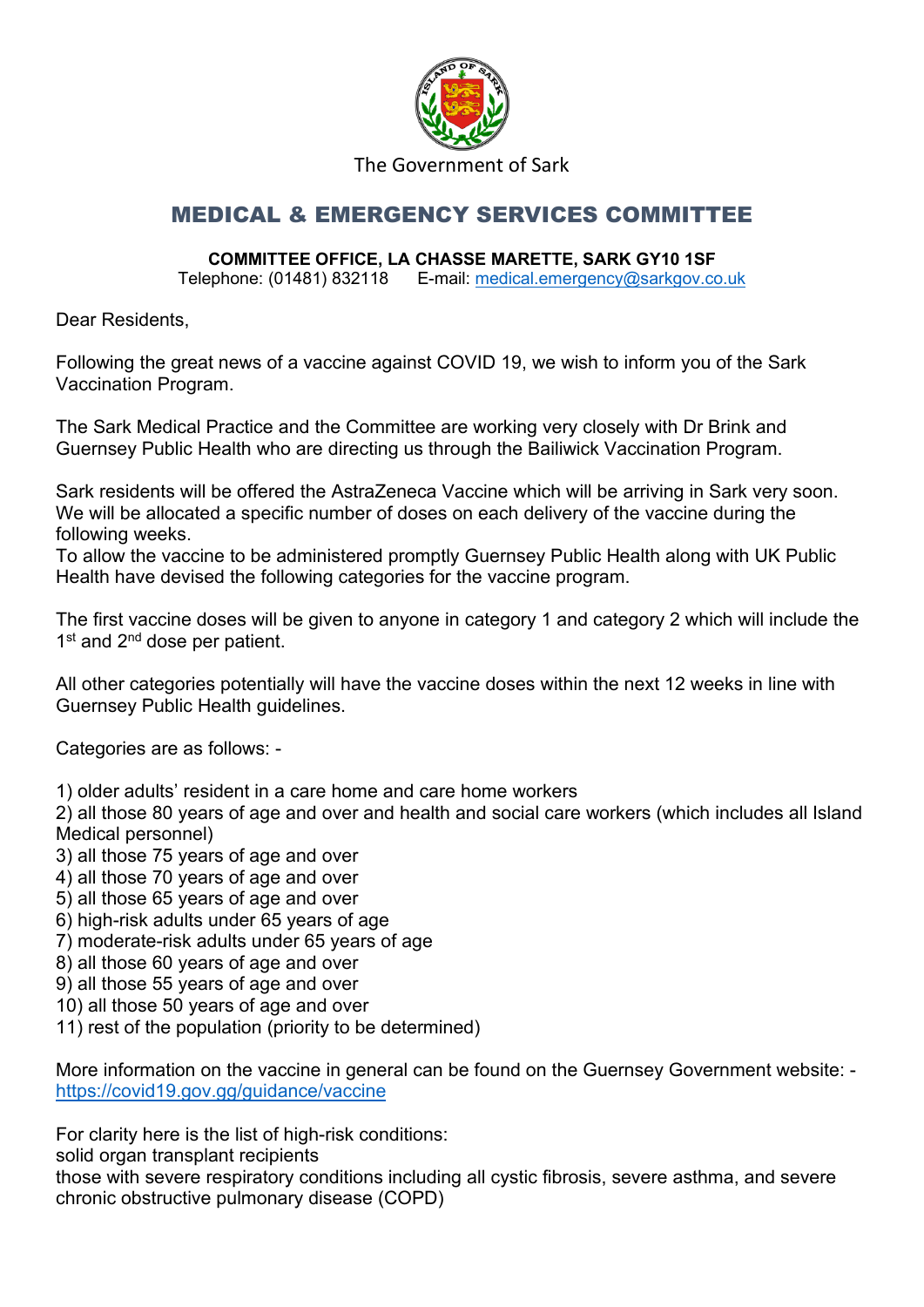

## The Government of Sark

## MEDICAL & EMERGENCY SERVICES COMMITTEE

## **COMMITTEE OFFICE, LA CHASSE MARETTE, SARK GY10 1SF**

Telephone: (01481) 832118 E-mail: [medical.emergency@sarkgov.co.uk](mailto:medical.emergency@sarkgov.co.uk)

Dear Residents,

Following the great news of a vaccine against COVID 19, we wish to inform you of the Sark Vaccination Program.

The Sark Medical Practice and the Committee are working very closely with Dr Brink and Guernsey Public Health who are directing us through the Bailiwick Vaccination Program.

Sark residents will be offered the AstraZeneca Vaccine which will be arriving in Sark very soon. We will be allocated a specific number of doses on each delivery of the vaccine during the following weeks.

To allow the vaccine to be administered promptly Guernsey Public Health along with UK Public Health have devised the following categories for the vaccine program.

The first vaccine doses will be given to anyone in category 1 and category 2 which will include the 1<sup>st</sup> and 2<sup>nd</sup> dose per patient.

All other categories potentially will have the vaccine doses within the next 12 weeks in line with Guernsey Public Health guidelines.

Categories are as follows: -

1) older adults' resident in a care home and care home workers

2) all those 80 years of age and over and health and social care workers (which includes all Island Medical personnel)

- 3) all those 75 years of age and over
- 4) all those 70 years of age and over
- 5) all those 65 years of age and over

6) high-risk adults under 65 years of age

- 7) moderate-risk adults under 65 years of age
- 8) all those 60 years of age and over
- 9) all those 55 years of age and over
- 10) all those 50 years of age and over
- 11) rest of the population (priority to be determined)

More information on the vaccine in general can be found on the Guernsey Government website: <https://covid19.gov.gg/guidance/vaccine>

For clarity here is the list of high-risk conditions:

solid organ transplant recipients

those with severe respiratory conditions including all cystic fibrosis, severe asthma, and severe chronic obstructive pulmonary disease (COPD)